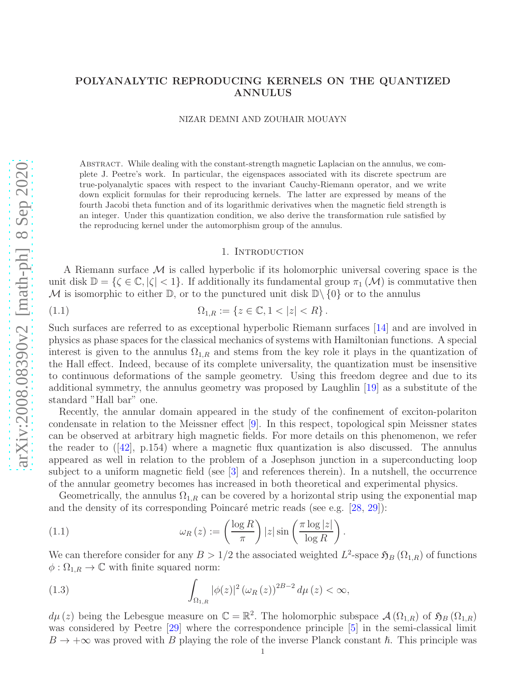# POLYANALYTIC REPRODUCING KERNELS ON THE QUANTIZED ANNULUS

NIZAR DEMNI AND ZOUHAIR MOUAYN

Abstract. While dealing with the constant-strength magnetic Laplacian on the annulus, we complete J. Peetre's work. In particular, the eigenspaces associated with its discrete spectrum are true-polyanalytic spaces with respect to the invariant Cauchy-Riemann operator, and we write down explicit formulas for their reproducing kernels. The latter are expressed by means of the fourth Jacobi theta function and of its logarithmic derivatives when the magnetic field strength is an integer. Under this quantization condition, we also derive the transformation rule satisfied by the reproducing kernel under the automorphism group of the annulus.

### 1. INTRODUCTION

A Riemann surface  $\mathcal M$  is called hyperbolic if its holomorphic universal covering space is the unit disk  $\mathbb{D} = \{\zeta \in \mathbb{C}, |\zeta| < 1\}$ . If additionally its fundamental group  $\pi_1(\mathcal{M})$  is commutative then M is isomorphic to either  $\mathbb{D}$ , or to the punctured unit disk  $\mathbb{D}\setminus\{0\}$  or to the annulus

(1.1) 
$$
\Omega_{1,R} := \{ z \in \mathbb{C}, 1 < |z| < R \}.
$$

Such surfaces are referred to as exceptional hyperbolic Riemann surfaces [\[14\]](#page-10-0) and are involved in physics as phase spaces for the classical mechanics of systems with Hamiltonian functions. A special interest is given to the annulus  $\Omega_{1,R}$  and stems from the key role it plays in the quantization of the Hall effect. Indeed, because of its complete universality, the quantization must be insensitive to continuous deformations of the sample geometry. Using this freedom degree and due to its additional symmetry, the annulus geometry was proposed by Laughlin [\[19\]](#page-11-0) as a substitute of the standard "Hall bar" one.

Recently, the annular domain appeared in the study of the confinement of exciton-polariton condensate in relation to the Meissner effect [\[9\]](#page-10-1). In this respect, topological spin Meissner states can be observed at arbitrary high magnetic fields. For more details on this phenomenon, we refer thereader to  $(42)$ , p.154) where a magnetic flux quantization is also discussed. The annulus appeared as well in relation to the problem of a Josephson junction in a superconducting loop subject to a uniform magnetic field (see [\[3\]](#page-10-2) and references therein). In a nutshell, the occurrence of the annular geometry becomes has increased in both theoretical and experimental physics.

Geometrically, the annulus  $\Omega_{1,R}$  can be covered by a horizontal strip using the exponential map and the density of its corresponding Poincaré metric reads (see e.g.  $[28, 29]$  $[28, 29]$ ):

(1.1) 
$$
\omega_R(z) := \left(\frac{\log R}{\pi}\right)|z| \sin\left(\frac{\pi \log|z|}{\log R}\right).
$$

We can therefore consider for any  $B > 1/2$  the associated weighted  $L^2$ -space  $\mathfrak{H}_B(\Omega_{1,R})$  of functions  $\phi : \Omega_{1,R} \to \mathbb{C}$  with finite squared norm:

(1.3) 
$$
\int_{\Omega_{1,R}} |\phi(z)|^2 \left(\omega_R(z)\right)^{2B-2} d\mu(z) < \infty,
$$

 $d\mu(z)$  being the Lebesgue measure on  $\mathbb{C} = \mathbb{R}^2$ . The holomorphic subspace  $\mathcal{A}(\Omega_{1,R})$  of  $\mathfrak{H}_B(\Omega_{1,R})$ was considered by Peetre [\[29\]](#page-11-3) where the correspondence principle [\[5\]](#page-10-3) in the semi-classical limit  $B \to +\infty$  was proved with B playing the role of the inverse Planck constant  $\hbar$ . This principle was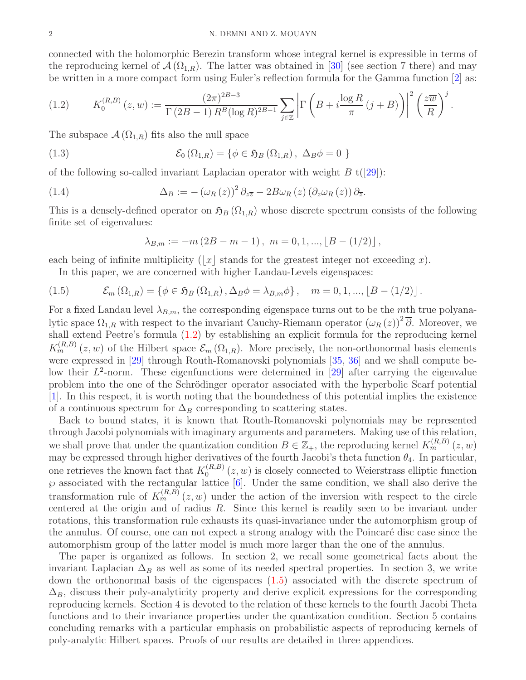#### 2 N. DEMNI AND Z. MOUAYN

connected with the holomorphic Berezin transform whose integral kernel is expressible in terms of the reproducing kernel of  $\mathcal{A}(\Omega_{1,R})$ . The latter was obtained in [\[30\]](#page-11-4) (see section 7 there) and may be written in a more compact form using Euler's reflection formula for the Gamma function [\[2\]](#page-10-4) as:

<span id="page-1-0"></span>
$$
(1.2) \tK_0^{(R,B)}(z,w) := \frac{(2\pi)^{2B-3}}{\Gamma(2B-1) R^B(\log R)^{2B-1}} \sum_{j\in\mathbb{Z}} \left| \Gamma\left(B + i\frac{\log R}{\pi} (j+B)\right) \right|^2 \left(\frac{z\overline{w}}{R}\right)^j.
$$

The subspace  $\mathcal{A}(\Omega_{1,R})$  fits also the null space

(1.3) 
$$
\mathcal{E}_0(\Omega_{1,R}) = \{ \phi \in \mathfrak{H}_B(\Omega_{1,R}), \Delta_B \phi = 0 \}
$$

of the following so-called invariant Laplacian operator with weight  $B_{t}([29])$  $B_{t}([29])$  $B_{t}([29])$ :

(1.4) 
$$
\Delta_B := -(\omega_R(z))^2 \partial_{z\overline{z}} - 2B\omega_R(z) (\partial_z \omega_R(z)) \partial_{\overline{z}}.
$$

This is a densely-defined operator on  $\mathfrak{H}_B(\Omega_{1,R})$  whose discrete spectrum consists of the following finite set of eigenvalues:

$$
\lambda_{B,m} := -m(2B - m - 1), \ m = 0, 1, ..., \lfloor B - (1/2) \rfloor,
$$

each being of infinite multiplicity ( $|x|$  stands for the greatest integer not exceeding x).

<span id="page-1-1"></span>In this paper, we are concerned with higher Landau-Levels eigenspaces:

(1.5) 
$$
\mathcal{E}_m(\Omega_{1,R}) = \{ \phi \in \mathfrak{H}_B(\Omega_{1,R}), \Delta_B \phi = \lambda_{B,m} \phi \}, \quad m = 0, 1, ..., \lfloor B - (1/2) \rfloor.
$$

For a fixed Landau level  $\lambda_{B,m}$ , the corresponding eigenspace turns out to be the mth true polyanalytic space  $\Omega_{1,R}$  with respect to the invariant Cauchy-Riemann operator  $(\omega_R(z))^2 \overline{\partial}$ . Moreover, we shall extend Peetre's formula [\(1.2\)](#page-1-0) by establishing an explicit formula for the reproducing kernel  $K_m^{(R,B)}(z,w)$  of the Hilbert space  $\mathcal{E}_m(\Omega_{1,R})$ . More precisely, the non-orthonormal basis elements were expressed in [\[29\]](#page-11-3) through Routh-Romanovski polynomials [\[35,](#page-11-5) [36\]](#page-11-6) and we shall compute below their  $L^2$ -norm. These eigenfunctions were determined in [\[29\]](#page-11-3) after carrying the eigenvalue problem into the one of the Schrödinger operator associated with the hyperbolic Scarf potential [\[1\]](#page-10-5). In this respect, it is worth noting that the boundedness of this potential implies the existence of a continuous spectrum for  $\Delta_B$  corresponding to scattering states.

Back to bound states, it is known that Routh-Romanovski polynomials may be represented through Jacobi polynomials with imaginary arguments and parameters. Making use of this relation, we shall prove that under the quantization condition  $B \in \mathbb{Z}_+$ , the reproducing kernel  $K_m^{(R,B)}(z,w)$ may be expressed through higher derivatives of the fourth Jacobi's theta function  $\theta_4$ . In particular, one retrieves the known fact that  $K_0^{(R,B)}$  $0^{(R,D)}(z,w)$  is closely connected to Weierstrass elliptic function  $\wp$  associated with the rectangular lattice  $[6]$ . Under the same condition, we shall also derive the transformation rule of  $K_m^{(R,B)}(z,w)$  under the action of the inversion with respect to the circle centered at the origin and of radius R. Since this kernel is readily seen to be invariant under rotations, this transformation rule exhausts its quasi-invariance under the automorphism group of the annulus. Of course, one can not expect a strong analogy with the Poincaré disc case since the automorphism group of the latter model is much more larger than the one of the annulus.

The paper is organized as follows. In section 2, we recall some geometrical facts about the invariant Laplacian  $\Delta_B$  as well as some of its needed spectral properties. In section 3, we write down the orthonormal basis of the eigenspaces [\(1.5\)](#page-1-1) associated with the discrete spectrum of  $\Delta_B$ , discuss their poly-analyticity property and derive explicit expressions for the corresponding reproducing kernels. Section 4 is devoted to the relation of these kernels to the fourth Jacobi Theta functions and to their invariance properties under the quantization condition. Section 5 contains concluding remarks with a particular emphasis on probabilistic aspects of reproducing kernels of poly-analytic Hilbert spaces. Proofs of our results are detailed in three appendices.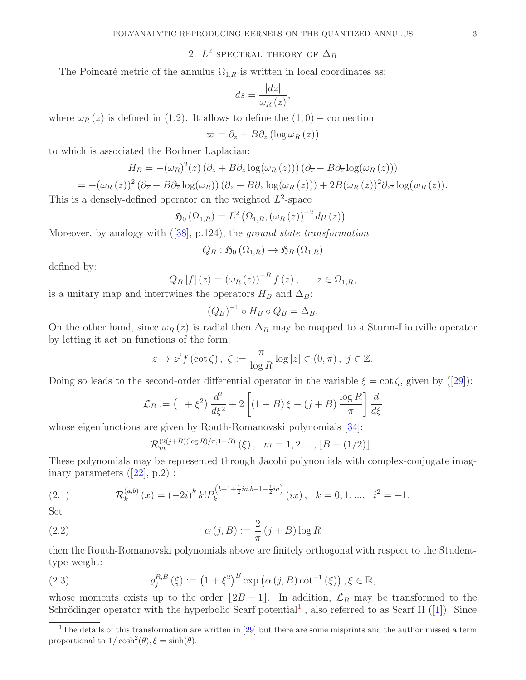2.  $L^2$  SPECTRAL THEORY OF  $\Delta_B$ 

The Poincaré metric of the annulus  $\Omega_{1,R}$  is written in local coordinates as:

$$
ds = \frac{|dz|}{\omega_R(z)},
$$

where  $\omega_R(z)$  is defined in (1.2). It allows to define the  $(1,0)$  – connection

$$
\varpi = \partial_z + B\partial_z (\log \omega_R(z))
$$

to which is associated the Bochner Laplacian:

$$
H_B = -(\omega_R)^2(z) (\partial_z + B \partial_z \log(\omega_R(z))) (\partial_{\overline{z}} - B \partial_{\overline{z}} \log(\omega_R(z)))
$$

$$
= -(\omega_R(z))^2 (\partial_{\overline{z}} - B \partial_{\overline{z}} \log(\omega_R)) (\partial_z + B \partial_z \log(\omega_R(z))) + 2B(\omega_R(z))^2 \partial_{z\overline{z}} \log(w_R(z)).
$$

This is a densely-defined operator on the weighted  $L^2$ -space

$$
\mathfrak{H}_0(\Omega_{1,R})=L^2\left(\Omega_{1,R},\left(\omega_R\left(z\right)\right)^{-2}d\mu\left(z\right)\right).
$$

Moreover, by analogy with([\[38\]](#page-11-7), p.124), the *ground state transformation*

$$
Q_B : \mathfrak{H}_0(\Omega_{1,R}) \to \mathfrak{H}_B(\Omega_{1,R})
$$

defined by:

$$
Q_B[f](z) = (\omega_R(z))^{-B} f(z), \quad z \in \Omega_{1,R},
$$

is a unitary map and intertwines the operators  $H_B$  and  $\Delta_B$ :

$$
(Q_B)^{-1} \circ H_B \circ Q_B = \Delta_B.
$$

On the other hand, since  $\omega_R(z)$  is radial then  $\Delta_B$  may be mapped to a Sturm-Liouville operator by letting it act on functions of the form:

$$
z \mapsto z^{j} f(\cot \zeta), \ \zeta := \frac{\pi}{\log R} \log |z| \in (0, \pi), \ j \in \mathbb{Z}.
$$

Doingso leads to the second-order differential operator in the variable  $\xi = \cot \zeta$ , given by ([\[29\]](#page-11-3)):

$$
\mathcal{L}_B := \left(1 + \xi^2\right) \frac{d^2}{d\xi^2} + 2 \left[ \left(1 - B\right)\xi - \left(j + B\right) \frac{\log R}{\pi} \right] \frac{d}{d\xi}
$$

whose eigenfunctions are given by Routh-Romanovski polynomials [\[34\]](#page-11-8):

<span id="page-2-2"></span>
$$
\mathcal{R}_m^{(2(j+B)(\log R)/\pi,1-B)}(\xi), \quad m=1,2,...,[B-(1/2)]\,.
$$

These polynomials may be represented through Jacobi polynomials with complex-conjugate imaginaryparameters  $([22], p.2)$  $([22], p.2)$  $([22], p.2)$ :

(2.1) 
$$
\mathcal{R}_k^{(a,b)}(x) = (-2i)^k k! P_k^{(b-1+\frac{1}{2}ia,b-1-\frac{1}{2}ia)}(ix), \quad k = 0, 1, ..., i^2 = -1.
$$

Set

(2.2) 
$$
\alpha(j, B) := \frac{2}{\pi} (j + B) \log R
$$

then the Routh-Romanovski polynomials above are finitely orthogonal with respect to the Studenttype weight:

<span id="page-2-1"></span>(2.3) 
$$
\varrho_j^{R,B}(\xi) := \left(1 + \xi^2\right)^B \exp\left(\alpha\left(j, B\right) \cot^{-1}\left(\xi\right)\right), \xi \in \mathbb{R},
$$

whose moments exists up to the order  $|2B - 1|$ . In addition,  $\mathcal{L}_B$  may be transformed to the Schrödinger operator with the hyperbolic Scarf potential<sup>[1](#page-2-0)</sup>,also referred to as Scarf II ([\[1\]](#page-10-5)). Since

<span id="page-2-0"></span><sup>&</sup>lt;sup>1</sup>The details of this transformation are written in [\[29\]](#page-11-3) but there are some misprints and the author missed a term proportional to  $1/\cosh^2(\theta), \xi = \sinh(\theta)$ .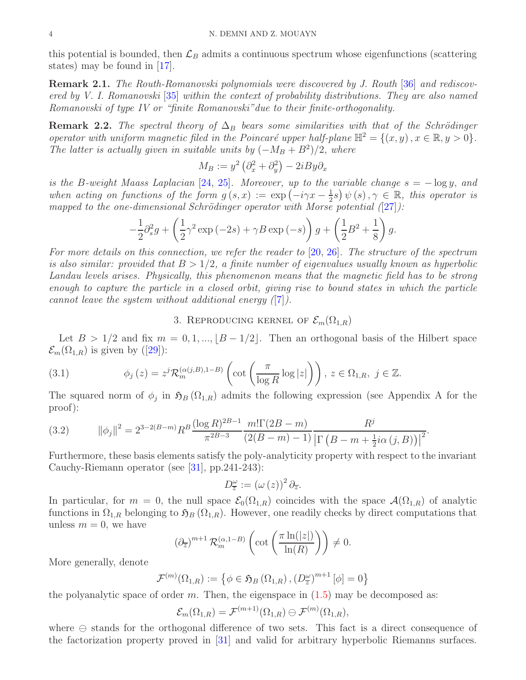this potential is bounded, then  $\mathcal{L}_B$  admits a continuous spectrum whose eigenfunctions (scattering states) may be found in [\[17\]](#page-11-10).

Remark 2.1. *The Routh-Romanovski polynomials were discovered by J. Routh* [\[36\]](#page-11-6) *and rediscovered by V. I. Romanovski* [\[35\]](#page-11-5) *within the context of probability distributions. They are also named Romanovski of type IV or "finite Romanovski"due to their finite-orthogonality.*

**Remark 2.2.** *The spectral theory of*  $\Delta_B$  *bears some similarities with that of the Schrödinger operator with uniform magnetic filed in the Poincaré upper half-plane*  $\mathbb{H}^2 = \{(x, y), x \in \mathbb{R}, y > 0\}.$ *The latter is actually given in suitable units by*  $(-M_B + B^2)/2$ , *where* 

$$
M_B := y^2 \left(\partial_x^2 + \partial_y^2\right) - 2iBy\partial_x
$$

*is the* B*-weight Maass Laplacian* [\[24,](#page-11-11) [25\]](#page-11-12)*. Moreover, up to the variable change* s = − log y, *and when acting on functions of the form*  $g(s, x) := \exp(-i\gamma x - \frac{1}{2})$  $(\frac{1}{2}s)\psi(s), \gamma \in \mathbb{R}$ , this operator is *mapped to the one-dimensional Schrödinger operator with Morse potential* ([\[27\]](#page-11-13)):

$$
-\frac{1}{2}\partial_s^2 g + \left(\frac{1}{2}\gamma^2 \exp\left(-2s\right) + \gamma B \exp\left(-s\right)\right)g + \left(\frac{1}{2}B^2 + \frac{1}{8}\right)g.
$$

*For more details on this connection, we refer the reader to* [\[20,](#page-11-14) [26\]](#page-11-15)*. The structure of the spectrum is also similar: provided that*  $B > 1/2$ , a finite number of eigenvalues usually known as hyperbolic *Landau levels arises. Physically, this phenomenon means that the magnetic field has to be strong enough to capture the particle in a closed orbit, giving rise to bound states in which the particle cannot leave the system without additional energy (*[\[7\]](#page-10-7)*).*

# <span id="page-3-1"></span>3. REPRODUCING KERNEL OF  $\mathcal{E}_m(\Omega_{1,R})$

Let  $B > 1/2$  and fix  $m = 0, 1, ..., |B - 1/2|$ . Then an orthogonal basis of the Hilbert space  $\mathcal{E}_m(\Omega_{1,R})$ is given by ([\[29\]](#page-11-3)):

(3.1) 
$$
\phi_j(z) = z^j \mathcal{R}_m^{(\alpha(j,B),1-B)} \left( \cot \left( \frac{\pi}{\log R} \log |z| \right) \right), z \in \Omega_{1,R}, j \in \mathbb{Z}.
$$

The squared norm of  $\phi_j$  in  $\mathfrak{H}_B(\Omega_{1,R})$  admits the following expression (see Appendix A for the proof):

<span id="page-3-0"></span>(3.2) 
$$
\|\phi_j\|^2 = 2^{3-2(B-m)} R^B \frac{(\log R)^{2B-1}}{\pi^{2B-3}} \frac{m!\Gamma(2B-m)}{(2(B-m)-1)} \frac{R^j}{\left|\Gamma(B-m+\frac{1}{2}i\alpha(j,B)\right|^2}.
$$

Furthermore, these basis elements satisfy the poly-analyticity property with respect to the invariant Cauchy-Riemann operator (see [\[31\]](#page-11-16), pp.241-243):

$$
D_{\overline{z}}^{\omega} := (\omega(z))^2 \partial_{\overline{z}}.
$$

In particular, for  $m = 0$ , the null space  $\mathcal{E}_0(\Omega_{1,R})$  coincides with the space  $\mathcal{A}(\Omega_{1,R})$  of analytic functions in  $\Omega_{1,R}$  belonging to  $\mathfrak{H}_B(\Omega_{1,R})$ . However, one readily checks by direct computations that unless  $m = 0$ , we have

$$
\left(\partial_{\overline{z}}\right)^{m+1} \mathcal{R}_m^{(\alpha, 1-B)}\left(\cot\left(\frac{\pi \ln(|z|)}{\ln(R)}\right)\right) \neq 0.
$$

More generally, denote

$$
\mathcal{F}^{(m)}(\Omega_{1,R}) := \left\{ \phi \in \mathfrak{H}_B \left( \Omega_{1,R} \right), \left( D_z^{\omega} \right)^{m+1} [\phi] = 0 \right\}
$$

the polyanalytic space of order m. Then, the eigenspace in  $(1.5)$  may be decomposed as:

$$
\mathcal{E}_m(\Omega_{1,R})=\mathcal{F}^{(m+1)}(\Omega_{1,R})\ominus\mathcal{F}^{(m)}(\Omega_{1,R}),
$$

where ⊖ stands for the orthogonal difference of two sets. This fact is a direct consequence of the factorization property proved in [\[31\]](#page-11-16) and valid for arbitrary hyperbolic Riemanns surfaces.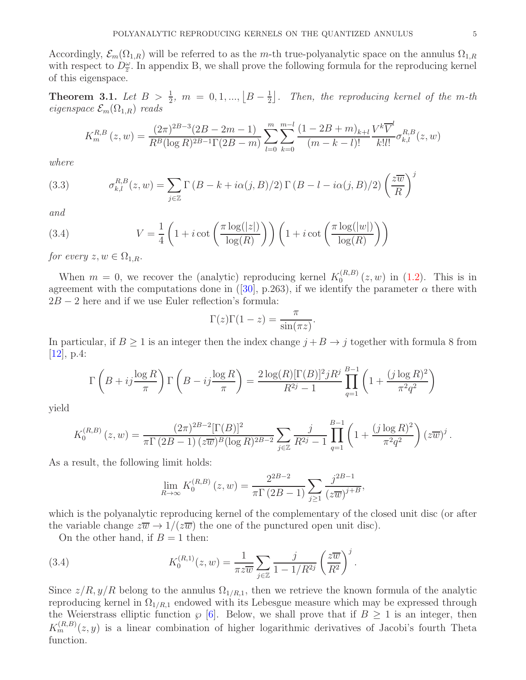Accordingly,  $\mathcal{E}_m(\Omega_{1,R})$  will be referred to as the m-th true-polyanalytic space on the annulus  $\Omega_{1,R}$ with respect to  $D_{\overline{z}}^{\omega}$ . In appendix B, we shall prove the following formula for the reproducing kernel of this eigenspace.

<span id="page-4-0"></span>**Theorem 3.1.** Let  $B > \frac{1}{2}$ ,  $m = 0, 1, ..., \lfloor B - \frac{1}{2} \rfloor$  $\frac{1}{2}$ . Then, the reproducing kernel of the m-th *eigenspace*  $\mathcal{E}_m(\Omega_{1,R})$  *reads* 

$$
K_m^{R,B}(z,w) = \frac{(2\pi)^{2B-3}(2B-2m-1)}{R^B(\log R)^{2B-1}\Gamma(2B-m)} \sum_{l=0}^m \sum_{k=0}^{m-l} \frac{(1-2B+m)_{k+l}}{(m-k-l)!} \frac{V^k \overline{V}^l}{k!l!} \sigma_{k,l}^{R,B}(z,w)
$$

*where*

<span id="page-4-1"></span>(3.3) 
$$
\sigma_{k,l}^{R,B}(z,w) = \sum_{j\in\mathbb{Z}} \Gamma(B-k+i\alpha(j,B)/2) \Gamma(B-l-i\alpha(j,B)/2) \left(\frac{z\overline{w}}{R}\right)^j
$$

*and*

(3.4) 
$$
V = \frac{1}{4} \left( 1 + i \cot \left( \frac{\pi \log(|z|)}{\log(R)} \right) \right) \left( 1 + i \cot \left( \frac{\pi \log(|w|)}{\log(R)} \right) \right)
$$

*for every*  $z, w \in \Omega_{1,R}$ .

When  $m = 0$ , we recover the (analytic) reproducing kernel  $K_0^{(R,B)}$  $_{0}^{(R,D)}(z,w)$  in  $(1.2)$ . This is in agreementwith the computations done in ([\[30\]](#page-11-4), p.263), if we identify the parameter  $\alpha$  there with  $2B - 2$  here and if we use Euler reflection's formula:

$$
\Gamma(z)\Gamma(1-z) = \frac{\pi}{\sin(\pi z)}.
$$

In particular, if  $B \ge 1$  is an integer then the index change  $j + B \rightarrow j$  together with formula 8 from  $[12]$ , p.4:

$$
\Gamma\left(B + ij\frac{\log R}{\pi}\right)\Gamma\left(B - ij\frac{\log R}{\pi}\right) = \frac{2\log(R)[\Gamma(B)]^2 jR^j}{R^{2j} - 1}\prod_{q=1}^{B-1} \left(1 + \frac{(j\log R)^2}{\pi^2 q^2}\right)
$$

yield

$$
K_0^{(R,B)}(z,w) = \frac{(2\pi)^{2B-2}[\Gamma(B)]^2}{\pi \Gamma(2B-1) (z\overline{w})^B (\log R)^{2B-2}} \sum_{j\in \mathbb{Z}} \frac{j}{R^{2j}-1} \prod_{q=1}^{B-1} \left(1 + \frac{(j \log R)^2}{\pi^2 q^2}\right) (z\overline{w})^j.
$$

As a result, the following limit holds:

$$
\lim_{R \to \infty} K_0^{(R,B)}(z,w) = \frac{2^{2B-2}}{\pi \Gamma(2B-1)} \sum_{j \ge 1} \frac{j^{2B-1}}{(z\overline{w})^{j+B}},
$$

which is the polyanalytic reproducing kernel of the complementary of the closed unit disc (or after the variable change  $z\overline{w} \rightarrow 1/(z\overline{w})$  the one of the punctured open unit disc).

.

On the other hand, if  $B = 1$  then:

(3.4) 
$$
K_0^{(R,1)}(z,w) = \frac{1}{\pi z \overline{w}} \sum_{j \in \mathbb{Z}} \frac{j}{1 - 1/R^{2j}} \left(\frac{z \overline{w}}{R^2}\right)^j
$$

Since  $z/R$ ,  $y/R$  belong to the annulus  $\Omega_{1/R,1}$ , then we retrieve the known formula of the analytic reproducing kernel in  $\Omega_{1/R,1}$  endowed with its Lebesgue measure which may be expressed through the Weierstrass elliptic function  $\wp$  [\[6\]](#page-10-6). Below, we shall prove that if  $B \ge 1$  is an integer, then  $K_m^{(R,B)}(z, y)$  is a linear combination of higher logarithmic derivatives of Jacobi's fourth Theta function.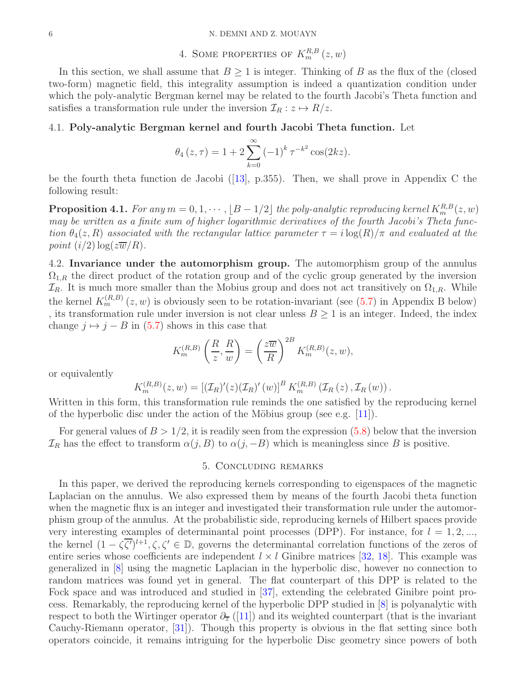# 4. SOME PROPERTIES OF  $K_m^{R,B}(z,w)$

In this section, we shall assume that  $B \geq 1$  is integer. Thinking of B as the flux of the (closed two-form) magnetic field, this integrality assumption is indeed a quantization condition under which the poly-analytic Bergman kernel may be related to the fourth Jacobi's Theta function and satisfies a transformation rule under the inversion  $\mathcal{I}_R : z \mapsto R/z$ .

## 4.1. Poly-analytic Bergman kernel and fourth Jacobi Theta function. Let

$$
\theta_4(z,\tau) = 1 + 2 \sum_{k=0}^{\infty} (-1)^k \tau^{-k^2} \cos(2kz).
$$

be the fourth theta function de Jacobi([\[13\]](#page-10-9), p.355). Then, we shall prove in Appendix C the following result:

<span id="page-5-0"></span> $\bf{Proposition 4.1.}$  For any  $m = 0, 1, \cdots, \lfloor B - 1/2 \rfloor$  the poly-analytic reproducing kernel  $K_{m}^{R,B}(z,w)$ *may be written as a finite sum of higher logarithmic derivatives of the fourth Jacobi's Theta function*  $\theta_4(z, R)$  *associated with the rectangular lattice parameter*  $\tau = i \log(R)/\pi$  *and evaluated at the point*  $(i/2) \log(z\overline{w}/R)$ *.* 

4.2. Invariance under the automorphism group. The automorphism group of the annulus  $\Omega_{1,R}$  the direct product of the rotation group and of the cyclic group generated by the inversion  $\mathcal{I}_R$ . It is much more smaller than the Mobius group and does not act transitively on  $\Omega_{1,R}$ . While the kernel  $K_m^{(R,B)}(z, w)$  is obviously seen to be rotation-invariant (see [\(5.7\)](#page-7-0) in Appendix B below) , its transformation rule under inversion is not clear unless  $B \ge 1$  is an integer. Indeed, the index change  $j \mapsto j - B$  in [\(5.7\)](#page-7-0) shows in this case that

$$
K_m^{(R,B)}\left(\frac{R}{z},\frac{R}{w}\right) = \left(\frac{z\overline{w}}{R}\right)^{2B} K_m^{(R,B)}(z,w),
$$

or equivalently

$$
K_m^{(R,B)}(z, w) = [(\mathcal{I}_R)'(z)(\mathcal{I}_R)'(w)]^B K_m^{(R,B)}(\mathcal{I}_R(z), \mathcal{I}_R(w)).
$$

Written in this form, this transformation rule reminds the one satisfied by the reproducing kernel of the hyperbolic disc under the action of the Möbius group (see e.g.  $[11]$ ).

For general values of  $B > 1/2$ , it is readily seen from the expression [\(5.8\)](#page-7-1) below that the inversion  $\mathcal{I}_R$  has the effect to transform  $\alpha(j, B)$  to  $\alpha(j, -B)$  which is meaningless since B is positive.

## 5. Concluding remarks

In this paper, we derived the reproducing kernels corresponding to eigenspaces of the magnetic Laplacian on the annulus. We also expressed them by means of the fourth Jacobi theta function when the magnetic flux is an integer and investigated their transformation rule under the automorphism group of the annulus. At the probabilistic side, reproducing kernels of Hilbert spaces provide very interesting examples of determinantal point processes (DPP). For instance, for  $l = 1, 2, ...,$ the kernel  $(1 - \zeta \overline{\zeta'})^{l+1}, \zeta, \zeta' \in \mathbb{D}$ , governs the determinantal correlation functions of the zeros of entire series whose coefficients are independent  $l \times l$  Ginibre matrices [\[32,](#page-11-17) [18\]](#page-11-18). This example was generalized in [\[8\]](#page-10-11) using the magnetic Laplacian in the hyperbolic disc, however no connection to random matrices was found yet in general. The flat counterpart of this DPP is related to the Fock space and was introduced and studied in [\[37\]](#page-11-19), extending the celebrated Ginibre point process. Remarkably, the reproducing kernel of the hyperbolic DPP studied in [\[8\]](#page-10-11) is polyanalytic with respect to both the Wirtinger operator  $\partial_{\overline{z}}$  ([\[11\]](#page-10-10)) and its weighted counterpart (that is the invariant Cauchy-Riemann operator, [\[31\]](#page-11-16)). Though this property is obvious in the flat setting since both operators coincide, it remains intriguing for the hyperbolic Disc geometry since powers of both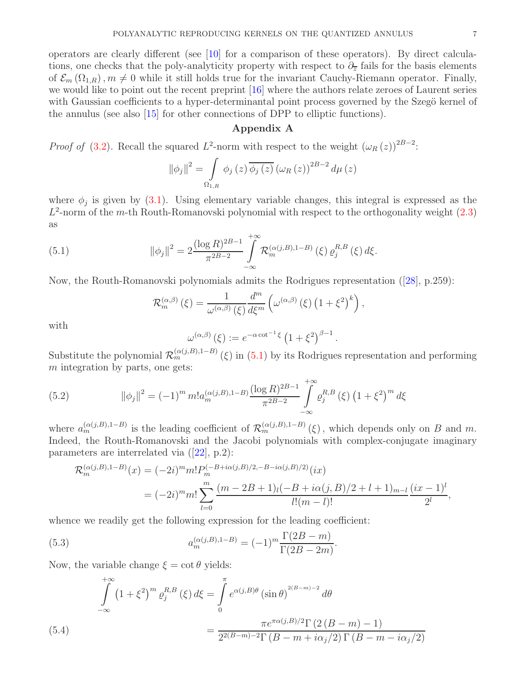operators are clearly different (see [\[10\]](#page-10-12) for a comparison of these operators). By direct calculations, one checks that the poly-analyticity property with respect to  $\partial_{\overline{z}}$  fails for the basis elements of  $\mathcal{E}_m(\Omega_{1,R}), m \neq 0$  while it still holds true for the invariant Cauchy-Riemann operator. Finally, we would like to point out the recent preprint [\[16\]](#page-10-13) where the authors relate zeroes of Laurent series with Gaussian coefficients to a hyper-determinantal point process governed by the Szegö kernel of the annulus (see also [\[15\]](#page-10-14) for other connections of DPP to elliptic functions).

## Appendix A

*Proof of* [\(3.2\)](#page-3-0). Recall the squared  $L^2$ -norm with respect to the weight  $(\omega_R(z))^{2B-2}$ :

$$
\|\phi_j\|^2 = \int\limits_{\Omega_{1,R}} \phi_j(z) \overline{\phi_j(z)} \left(\omega_R(z)\right)^{2B-2} d\mu(z)
$$

where  $\phi_j$  is given by [\(3.1\)](#page-3-1). Using elementary variable changes, this integral is expressed as the  $L^2$ -norm of the m-th Routh-Romanovski polynomial with respect to the orthogonality weight  $(2.3)$ as

(5.1) 
$$
\|\phi_j\|^2 = 2 \frac{(\log R)^{2B-1}}{\pi^{2B-2}} \int_{-\infty}^{+\infty} \mathcal{R}_m^{(\alpha(j,B),1-B)}(\xi) \varrho_j^{R,B}(\xi) d\xi.
$$

Now, the Routh-Romanovski polynomials admits the Rodrigues representation([\[28\]](#page-11-2), p.259):

<span id="page-6-0"></span>
$$
\mathcal{R}_{m}^{(\alpha,\beta)}(\xi) = \frac{1}{\omega^{(\alpha,\beta)}(\xi)} \frac{d^{m}}{d\xi^{m}} \left( \omega^{(\alpha,\beta)}(\xi) \left( 1 + \xi^{2} \right)^{k} \right),
$$

with

$$
\omega^{(\alpha,\beta)}(\xi) := e^{-\alpha \cot^{-1}\xi} \left(1 + \xi^2\right)^{\beta - 1}.
$$

Substitute the polynomial  $\mathcal{R}_m^{(\alpha(j,B),1-B)}(\xi)$  in  $(5.1)$  by its Rodrigues representation and performing  $m$  integration by parts, one gets:

<span id="page-6-1"></span>(5.2) 
$$
\|\phi_j\|^2 = (-1)^m m! a_m^{(\alpha(j,B),1-B)} \frac{(\log R)^{2B-1}}{\pi^{2B-2}} \int_{-\infty}^{+\infty} \varrho_j^{R,B} (\xi) (1+\xi^2)^m d\xi
$$

where  $a_m^{(\alpha(j,B),1-B)}$  is the leading coefficient of  $\mathcal{R}_m^{(\alpha(j,B),1-B)}(\xi)$ , which depends only on B and m. Indeed, the Routh-Romanovski and the Jacobi polynomials with complex-conjugate imaginary parameters are interrelated via([\[22\]](#page-11-9), p.2):

<span id="page-6-3"></span>
$$
\mathcal{R}_m^{(\alpha(j,B),1-B)}(x) = (-2i)^m m! P_m^{(-B+i\alpha(j,B)/2, -B-i\alpha(j,B)/2)}(ix)
$$
  
= 
$$
(-2i)^m m! \sum_{l=0}^m \frac{(m-2B+1)_l(-B+i\alpha(j,B)/2+l+1)_{m-l}}{l!(m-l)!} \frac{(ix-1)^l}{2^l},
$$

whence we readily get the following expression for the leading coefficient:

(5.3) 
$$
a_m^{(\alpha(j,B),1-B)} = (-1)^m \frac{\Gamma(2B-m)}{\Gamma(2B-2m)}.
$$

Now, the variable change  $\xi = \cot \theta$  yields:

<span id="page-6-2"></span>
$$
\int_{-\infty}^{+\infty} (1 + \xi^2)^m \varrho_j^{R,B}(\xi) d\xi = \int_{0}^{\pi} e^{\alpha(j,B)\theta} (\sin \theta)^{2(B-m)-2} d\theta
$$

$$
= \frac{\pi e^{\pi \alpha(j,B)/2} \Gamma(2 (B-m) - 1)}{2^{2(B-m)-2} \Gamma(B-m+i\alpha_j/2) \Gamma(B-m-i\alpha_j/2)}
$$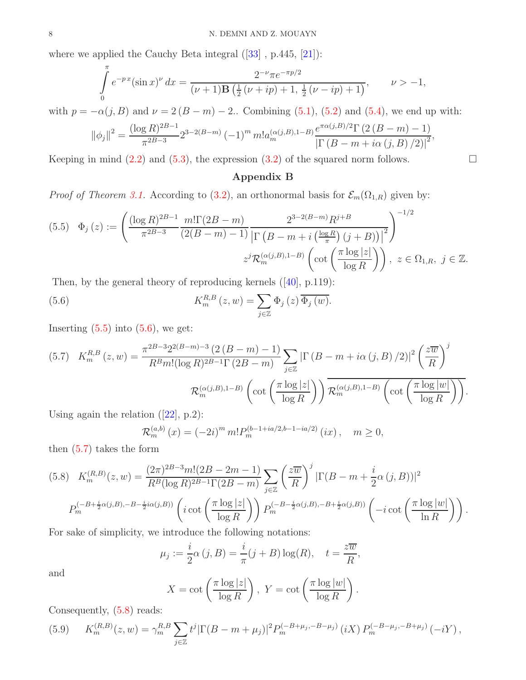wherewe applied the Cauchy Beta integral  $([33]$  $([33]$ , p.445,  $[21]$ ):

$$
\int_{0}^{\pi} e^{-px} (\sin x)^{\nu} dx = \frac{2^{-\nu} \pi e^{-\pi p/2}}{(\nu+1) \mathbf{B} \left(\frac{1}{2} (\nu+ip) + 1, \frac{1}{2} (\nu-ip) + 1\right)}, \qquad \nu > -1,
$$

with  $p = -\alpha(j, B)$  and  $\nu = 2(B - m) - 2$ . Combining [\(5.1\)](#page-6-0), [\(5.2\)](#page-6-1) and [\(5.4\)](#page-6-2), we end up with:

$$
\|\phi_j\|^2 = \frac{(\log R)^{2B-1}}{\pi^{2B-3}} 2^{3-2(B-m)} (-1)^m m! a_m^{(\alpha(j,B),1-B)} \frac{e^{\pi \alpha(j,B)/2} \Gamma(2 (B-m)-1)}{\left|\Gamma(B-m+i\alpha(j,B)/2)\right|^2},
$$

Keeping in mind  $(2.2)$  and  $(5.3)$ , the expression  $(3.2)$  of the squared norm follows.

## <span id="page-7-3"></span>Appendix B

*Proof of Theorem [3.1.](#page-4-0)* According to [\(3.2\)](#page-3-0), an orthonormal basis for  $\mathcal{E}_m(\Omega_{1,R})$  given by:

<span id="page-7-2"></span>
$$
(5.5) \quad \Phi_j(z) := \left( \frac{(\log R)^{2B-1}}{\pi^{2B-3}} \frac{m! \Gamma(2B-m)}{(2(B-m)-1)} \frac{2^{3-2(B-m)} R^{j+B}}{\left| \Gamma\left(B-m+i\left(\frac{\log R}{\pi}\right)(j+B)\right) \right|^2} \right)^{-1/2}
$$

$$
z^j \mathcal{R}_m^{(\alpha(j,B),1-B)}\left(\cot\left(\frac{\pi \log|z|}{\log R}\right)\right), \ z \in \Omega_{1,R}, \ j \in \mathbb{Z}.
$$

Then, by the general theory of reproducing kernels([\[40\]](#page-11-22), p.119):

(5.6) 
$$
K_m^{R,B}(z,w) = \sum_{j\in\mathbb{Z}} \Phi_j(z) \overline{\Phi_j(w)}.
$$

Inserting  $(5.5)$  into  $(5.6)$ , we get:

<span id="page-7-0"></span>
$$
(5.7) \quad K_m^{R,B}(z,w) = \frac{\pi^{2B-3}2^{2(B-m)-3} (2(B-m)-1)}{R^B m! (\log R)^{2B-1} \Gamma(2B-m)} \sum_{j \in \mathbb{Z}} \left| \Gamma\left(B-m+i\alpha(j,B)/2\right) \right|^2 \left(\frac{z\overline{w}}{R}\right)^j
$$

$$
\mathcal{R}_m^{(\alpha(j,B),1-B)}\left(\cot\left(\frac{\pi \log|z|}{\log R}\right)\right) \overline{\mathcal{R}_m^{(\alpha(j,B),1-B)}}\left(\cot\left(\frac{\pi \log|w|}{\log R}\right)\right).
$$

Usingagain the relation  $(|22|, p.2)$ :

$$
\mathcal{R}_m^{(a,b)}(x) = (-2i)^m m! P_m^{(b-1+ia/2,b-1-ia/2)}(ix), \quad m \ge 0,
$$

then [\(5.7\)](#page-7-0) takes the form

<span id="page-7-1"></span>
$$
(5.8) \quad K_m^{(R,B)}(z,w) = \frac{(2\pi)^{2B-3}m!(2B-2m-1)}{R^B(\log R)^{2B-1}\Gamma(2B-m)} \sum_{j\in\mathbb{Z}} \left(\frac{z\overline{w}}{R}\right)^j |\Gamma(B-m+\frac{i}{2}\alpha(j,B))|^2
$$

$$
P_m^{(-B+\frac{i}{2}\alpha(j,B),-B-\frac{i}{2}i\alpha(j,B))} \left(i \cot\left(\frac{\pi \log|z|}{\log R}\right)\right) P_m^{(-B-\frac{i}{2}\alpha(j,B),-B+\frac{i}{2}\alpha(j,B))} \left(-i \cot\left(\frac{\pi \log|w|}{\ln R}\right)\right).
$$

For sake of simplicity, we introduce the following notations:

$$
\mu_j := \frac{i}{2}\alpha(j, B) = \frac{i}{\pi}(j + B)\log(R), \quad t = \frac{z\overline{w}}{R},
$$

and

$$
X = \cot\left(\frac{\pi \log|z|}{\log R}\right), \ Y = \cot\left(\frac{\pi \log|w|}{\log R}\right)
$$

.

Consequently, [\(5.8\)](#page-7-1) reads:

<span id="page-7-4"></span>(5.9) 
$$
K_m^{(R,B)}(z,w) = \gamma_m^{R,B} \sum_{j \in \mathbb{Z}} t^j |\Gamma(B-m+\mu_j)|^2 P_m^{(-B+\mu_j,-B-\mu_j)} (iX) P_m^{(-B-\mu_j,-B+\mu_j)} (-iY),
$$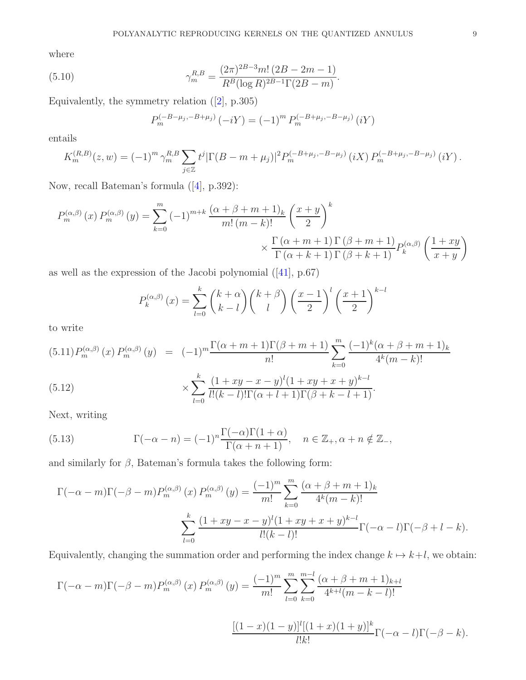where

(5.10) 
$$
\gamma_m^{R,B} = \frac{(2\pi)^{2B-3}m! (2B - 2m - 1)}{R^B (\log R)^{2B-1} \Gamma(2B - m)}.
$$

Equivalently, the symmetry relation([\[2\]](#page-10-4), p.305)

$$
P_m^{(-B-\mu_j,-B+\mu_j)}(-iY) = (-1)^m P_m^{(-B+\mu_j,-B-\mu_j)}(iY)
$$

entails

$$
K_m^{(R,B)}(z,w) = (-1)^m \gamma_m^{R,B} \sum_{j \in \mathbb{Z}} t^j |\Gamma(B-m+\mu_j)|^2 P_m^{(-B+\mu_j,-B-\mu_j)} (iX) P_m^{(-B+\mu_j,-B-\mu_j)} (iY).
$$

Now, recall Bateman's formula([\[4\]](#page-10-15), p.392):

$$
P_m^{(\alpha,\beta)}(x) P_m^{(\alpha,\beta)}(y) = \sum_{k=0}^m (-1)^{m+k} \frac{(\alpha+\beta+m+1)_k}{m! (m-k)!} \left(\frac{x+y}{2}\right)^k
$$

$$
\times \frac{\Gamma(\alpha+m+1) \Gamma(\beta+m+1)}{\Gamma(\alpha+k+1) \Gamma(\beta+k+1)} P_k^{(\alpha,\beta)}\left(\frac{1+xy}{x+y}\right)
$$

as well as the expression of the Jacobi polynomial([\[41\]](#page-11-23), p.67)

$$
P_k^{(\alpha,\beta)}(x) = \sum_{l=0}^k {k+\alpha \choose k-l} {k+\beta \choose l} \left(\frac{x-1}{2}\right)^l \left(\frac{x+1}{2}\right)^{k-l}
$$

to write

(5.11) 
$$
P_m^{(\alpha,\beta)}(x) P_m^{(\alpha,\beta)}(y) = (-1)^m \frac{\Gamma(\alpha+m+1)\Gamma(\beta+m+1)}{n!} \sum_{k=0}^m \frac{(-1)^k(\alpha+\beta+m+1)_k}{4^k(m-k)!}
$$
  
\n(5.12) 
$$
\times \sum_{l=0}^k \frac{(1+xy-x-y)^l(1+xy+x+y)^{k-l}}{l!(k-l)!\Gamma(\alpha+l+1)\Gamma(\beta+k-l+1)}.
$$

Next, writing

(5.13) 
$$
\Gamma(-\alpha - n) = (-1)^n \frac{\Gamma(-\alpha)\Gamma(1 + \alpha)}{\Gamma(\alpha + n + 1)}, \quad n \in \mathbb{Z}_+, \alpha + n \notin \mathbb{Z}_-,
$$

and similarly for  $\beta$ , Bateman's formula takes the following form:

$$
\Gamma(-\alpha - m)\Gamma(-\beta - m)P_m^{(\alpha,\beta)}(x) P_m^{(\alpha,\beta)}(y) = \frac{(-1)^m}{m!} \sum_{k=0}^m \frac{(\alpha + \beta + m + 1)_k}{4^k (m - k)!}
$$

$$
\sum_{l=0}^k \frac{(1 + xy - x - y)^l (1 + xy + x + y)^{k-l}}{l!(k - l)!} \Gamma(-\alpha - l) \Gamma(-\beta + l - k).
$$

Equivalently, changing the summation order and performing the index change  $k \mapsto k+l$ , we obtain:

$$
\Gamma(-\alpha - m)\Gamma(-\beta - m)P_m^{(\alpha,\beta)}(x) P_m^{(\alpha,\beta)}(y) = \frac{(-1)^m}{m!} \sum_{l=0}^m \sum_{k=0}^{m-l} \frac{(\alpha + \beta + m + 1)_{k+l}}{4^{k+l}(m-k-l)!}
$$

$$
\frac{[(1-x)(1-y)]^l[(1+x)(1+y)]^k}{l!k!} \Gamma(-\alpha - l)\Gamma(-\beta - k).
$$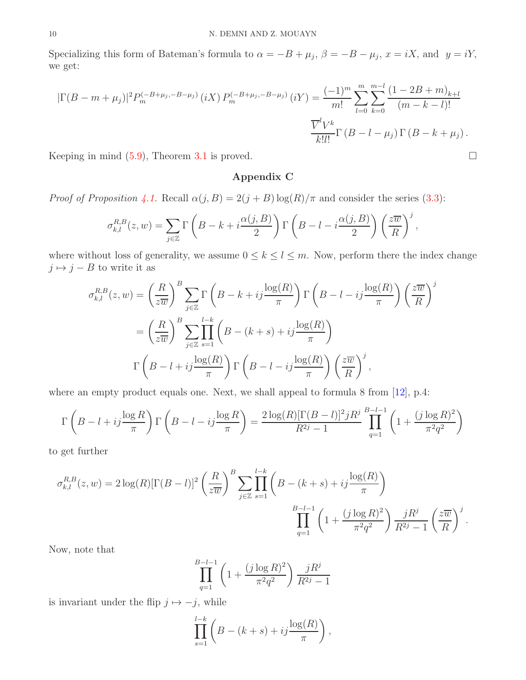Specializing this form of Bateman's formula to  $\alpha = -B + \mu_j$ ,  $\beta = -B - \mu_j$ ,  $x = iX$ , and  $y = iY$ , we get:

$$
|\Gamma(B - m + \mu_j)|^2 P_m^{(-B + \mu_j, -B - \mu_j)} (iX) P_m^{(-B + \mu_j, -B - \mu_j)} (iY) = \frac{(-1)^m}{m!} \sum_{l=0}^m \sum_{k=0}^{m-l} \frac{(1 - 2B + m)_{k+l}}{(m - k - l)!}
$$

$$
\frac{\overline{V}^l V^k}{k! l!} \Gamma(B - l - \mu_j) \Gamma(B - k + \mu_j).
$$

Keeping in mind  $(5.9)$ , Theorem [3.1](#page-4-0) is proved.

## Appendix C

*Proof of Proposition* [4.1.](#page-5-0) Recall  $\alpha(j, B) = 2(j + B) \log(R)/\pi$  and consider the series [\(3.3\)](#page-4-1):

$$
\sigma_{k,l}^{R,B}(z,w) = \sum_{j\in\mathbb{Z}} \Gamma\left(B - k + i\frac{\alpha(j,B)}{2}\right) \Gamma\left(B - l - i\frac{\alpha(j,B)}{2}\right) \left(\frac{z\overline{w}}{R}\right)^j,
$$

where without loss of generality, we assume  $0 \leq k \leq l \leq m$ . Now, perform there the index change  $j \mapsto j - B$  to write it as

$$
\sigma_{k,l}^{R,B}(z,w) = \left(\frac{R}{z\overline{w}}\right)^B \sum_{j\in\mathbb{Z}} \Gamma\left(B - k + ij\frac{\log(R)}{\pi}\right) \Gamma\left(B - l - ij\frac{\log(R)}{\pi}\right) \left(\frac{z\overline{w}}{R}\right)^j
$$

$$
= \left(\frac{R}{z\overline{w}}\right)^B \sum_{j\in\mathbb{Z}} \prod_{s=1}^{l-k} \left(B - (k+s) + ij\frac{\log(R)}{\pi}\right)
$$

$$
\Gamma\left(B - l + ij\frac{\log(R)}{\pi}\right) \Gamma\left(B - l - ij\frac{\log(R)}{\pi}\right) \left(\frac{z\overline{w}}{R}\right)^j,
$$

where an empty product equals one. Next, we shall appeal to formula 8 from [\[12\]](#page-10-8), p.4:

$$
\Gamma\left(B-l+ij\frac{\log R}{\pi}\right)\Gamma\left(B-l-ij\frac{\log R}{\pi}\right)=\frac{2\log(R)[\Gamma(B-l)]^2jR^j}{R^{2j}-1}\prod_{q=1}^{B-l-1}\left(1+\frac{(j\log R)^2}{\pi^2q^2}\right)
$$

to get further

$$
\sigma_{k,l}^{R,B}(z,w) = 2\log(R)[\Gamma(B-l)]^2 \left(\frac{R}{z\overline{w}}\right)^B \sum_{j\in\mathbb{Z}} \prod_{s=1}^{l-k} \left(B - (k+s) + ij\frac{\log(R)}{\pi}\right)
$$

$$
\prod_{q=1}^{B-l-1} \left(1 + \frac{(j\log R)^2}{\pi^2 q^2}\right) \frac{jR^j}{R^{2j} - 1} \left(\frac{z\overline{w}}{R}\right)^j.
$$

Now, note that

$$
\prod_{q=1}^{B-l-1} \left( 1 + \frac{(j \log R)^2}{\pi^2 q^2} \right) \frac{jR^j}{R^{2j} - 1}
$$

is invariant under the flip  $j \mapsto -j$ , while

$$
\prod_{s=1}^{l-k} \left( B - (k+s) + ij \frac{\log(R)}{\pi} \right),\,
$$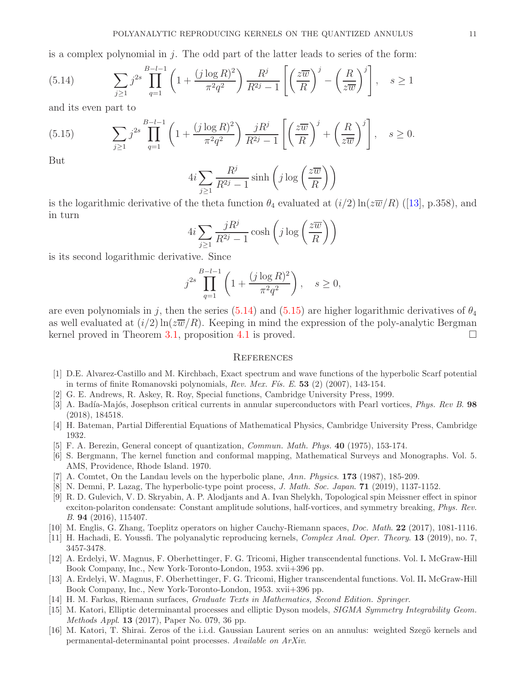is a complex polynomial in  $j$ . The odd part of the latter leads to series of the form:

<span id="page-10-16"></span>(5.14) 
$$
\sum_{j\geq 1} j^{2s} \prod_{q=1}^{B-l-1} \left( 1 + \frac{(j \log R)^2}{\pi^2 q^2} \right) \frac{R^j}{R^{2j} - 1} \left[ \left( \frac{z\overline{w}}{R} \right)^j - \left( \frac{R}{z\overline{w}} \right)^j \right], \quad s \geq 1
$$

and its even part to

<span id="page-10-17"></span>(5.15) 
$$
\sum_{j\geq 1} j^{2s} \prod_{q=1}^{B-l-1} \left( 1 + \frac{(j \log R)^2}{\pi^2 q^2} \right) \frac{jR^j}{R^{2j} - 1} \left[ \left( \frac{z\overline{w}}{R} \right)^j + \left( \frac{R}{z\overline{w}} \right)^j \right], \quad s \geq 0.
$$

But

$$
4i\sum_{j\geq 1}\frac{R^j}{R^{2j}-1}\sinh\left(j\log\left(\frac{z\overline{w}}{R}\right)\right)
$$

isthe logarithmic derivative of the theta function  $\theta_4$  evaluated at  $(i/2)$  ln( $z\overline{w}/R$ ) ([\[13\]](#page-10-9), p.358), and in turn

$$
4i\sum_{j\geq 1}\frac{jR^j}{R^{2j}-1}\cosh\left(j\log\left(\frac{z\overline{w}}{R}\right)\right)
$$

is its second logarithmic derivative. Since

$$
j^{2s} \prod_{q=1}^{B-l-1} \left( 1 + \frac{(j \log R)^2}{\pi^2 q^2} \right), \quad s \ge 0,
$$

are even polynomials in j, then the series [\(5.14\)](#page-10-16) and [\(5.15\)](#page-10-17) are higher logarithmic derivatives of  $\theta_4$ as well evaluated at  $(i/2) \ln(z\overline{w}/R)$ . Keeping in mind the expression of the poly-analytic Bergman kernel proved in Theorem [3.1,](#page-4-0) proposition [4.1](#page-5-0) is proved.  $\Box$ 

#### **REFERENCES**

- <span id="page-10-5"></span>[1] D.E. Alvarez-Castillo and M. Kirchbach, Exact spectrum and wave functions of the hyperbolic Scarf potential in terms of finite Romanovski polynomials, *Rev. Mex. F´ıs. E*. 53 (2) (2007), 143-154.
- <span id="page-10-4"></span><span id="page-10-2"></span>[2] G. E. Andrews, R. Askey, R. Roy, Special functions, Cambridge University Press, 1999.
- [3] A. Badía-Majós, Josephson critical currents in annular superconductors with Pearl vortices, *Phys. Rev B.* 98 (2018), 184518.
- <span id="page-10-15"></span><span id="page-10-3"></span>[4] H. Bateman, Partial Differential Equations of Mathematical Physics, Cambridge University Press, Cambridge 1932.
- <span id="page-10-6"></span>[5] F. A. Berezin, General concept of quantization, *Commun. Math. Phys.* 40 (1975), 153-174.
- [6] S. Bergmann, The kernel function and conformal mapping, Mathematical Surveys and Monographs. Vol. 5. AMS, Providence, Rhode Island. 1970.
- <span id="page-10-11"></span><span id="page-10-7"></span>[7] A. Comtet, On the Landau levels on the hyperbolic plane, *Ann. Physics*. 173 (1987), 185-209.
- <span id="page-10-1"></span>[8] N. Demni, P. Lazag, The hyperbolic-type point process, *J. Math. Soc. Japan*. 71 (2019), 1137-1152.
- [9] R. D. Gulevich, V. D. Skryabin, A. P. Alodjants and A. Ivan Shelykh, Topological spin Meissner effect in spinor exciton-polariton condensate: Constant amplitude solutions, half-vortices, and symmetry breaking, *Phys. Rev. B*. 94 (2016), 115407.
- <span id="page-10-12"></span><span id="page-10-10"></span>[10] M. Englis, G. Zhang, Toeplitz operators on higher Cauchy-Riemann spaces, *Doc. Math*. 22 (2017), 1081-1116.
- <span id="page-10-8"></span>[11] H. Hachadi, E. Youssfi. The polyanalytic reproducing kernels, *Complex Anal. Oper. Theory*. 13 (2019), no. 7, 3457-3478.
- [12] A. Erdelyi, W. Magnus, F. Oberhettinger, F. G. Tricomi, Higher transcendental functions. Vol. I. McGraw-Hill Book Company, Inc., New York-Toronto-London, 1953. xvii+396 pp.
- <span id="page-10-9"></span>[13] A. Erdelyi, W. Magnus, F. Oberhettinger, F. G. Tricomi, Higher transcendental functions. Vol. II. McGraw-Hill Book Company, Inc., New York-Toronto-London, 1953. xvii+396 pp.
- <span id="page-10-14"></span><span id="page-10-0"></span>[14] H. M. Farkas, Riemann surfaces, *Graduate Texts in Mathematics, Second Edition. Springer*.
- [15] M. Katori, Elliptic determinantal processes and elliptic Dyson models, *SIGMA Symmetry Integrability Geom. Methods Appl*. 13 (2017), Paper No. 079, 36 pp.
- <span id="page-10-13"></span>[16] M. Katori, T. Shirai. Zeros of the i.i.d. Gaussian Laurent series on an annulus: weighted Szegö kernels and permanental-determinantal point processes. *Available on ArXiv*.